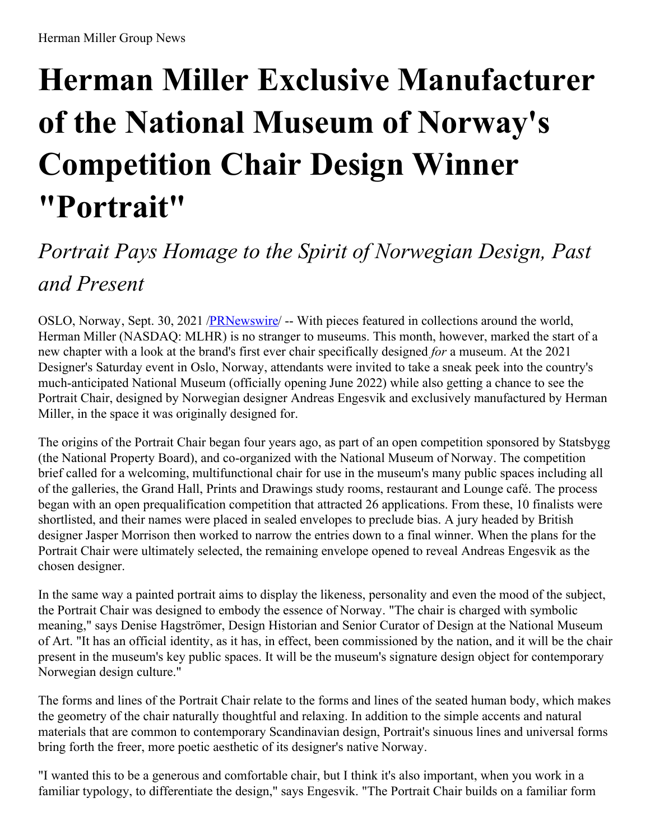# **Herman Miller Exclusive Manufacturer of the National Museum of Norway's Competition Chair Design Winner "Portrait"**

## *Portrait Pays Homage to the Spirit of Norwegian Design, Past and Present*

OSLO, Norway, Sept. 30, 2021 [/PRNewswire/](http://www.prnewswire.com/) -- With pieces featured in collections around the world, Herman Miller (NASDAQ: MLHR) is no stranger to museums. This month, however, marked the start of a new chapter with a look at the brand's first ever chair specifically designed *for* a museum. At the 2021 Designer's Saturday event in Oslo, Norway, attendants were invited to take a sneak peek into the country's much-anticipated National Museum (officially opening June 2022) while also getting a chance to see the Portrait Chair, designed by Norwegian designer Andreas Engesvik and exclusively manufactured by Herman Miller, in the space it was originally designed for.

The origins of the Portrait Chair began four years ago, as part of an open competition sponsored by Statsbygg (the National Property Board), and co-organized with the National Museum of Norway. The competition brief called for a welcoming, multifunctional chair for use in the museum's many public spaces including all of the galleries, the Grand Hall, Prints and Drawings study rooms, restaurant and Lounge café. The process began with an open prequalification competition that attracted 26 applications. From these, 10 finalists were shortlisted, and their names were placed in sealed envelopes to preclude bias. A jury headed by British designer Jasper Morrison then worked to narrow the entries down to a final winner. When the plans for the Portrait Chair were ultimately selected, the remaining envelope opened to reveal Andreas Engesvik as the chosen designer.

In the same way a painted portrait aims to display the likeness, personality and even the mood of the subject, the Portrait Chair was designed to embody the essence of Norway. "The chair is charged with symbolic meaning," says Denise Hagströmer, Design Historian and Senior Curator of Design at the National Museum of Art. "It has an official identity, as it has, in effect, been commissioned by the nation, and it will be the chair present in the museum's key public spaces. It will be the museum's signature design object for contemporary Norwegian design culture."

The forms and lines of the Portrait Chair relate to the forms and lines of the seated human body, which makes the geometry of the chair naturally thoughtful and relaxing. In addition to the simple accents and natural materials that are common to contemporary Scandinavian design, Portrait's sinuous lines and universal forms bring forth the freer, more poetic aesthetic of its designer's native Norway.

"I wanted this to be a generous and comfortable chair, but I think it's also important, when you work in a familiar typology, to differentiate the design," says Engesvik. "The Portrait Chair builds on a familiar form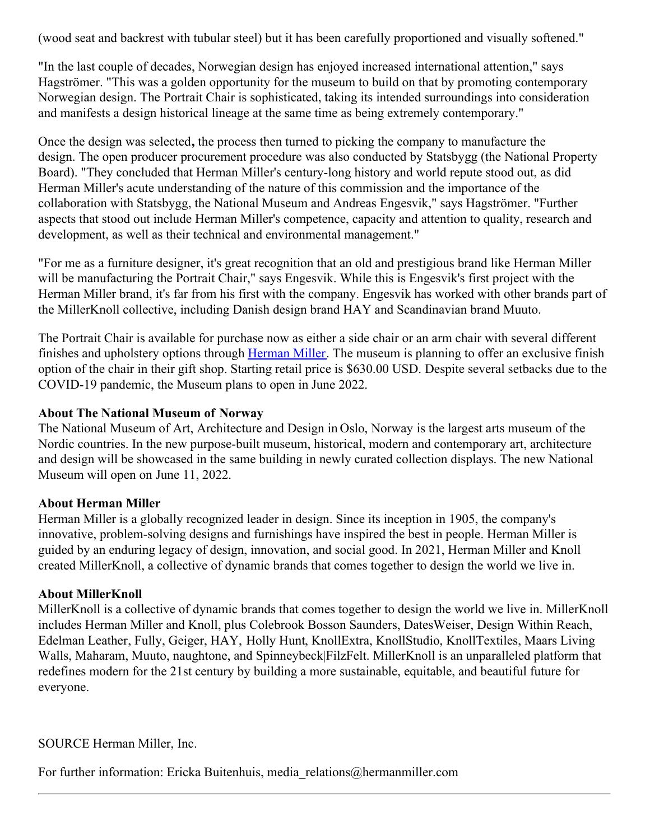(wood seat and backrest with tubular steel) but it has been carefully proportioned and visually softened."

"In the last couple of decades, Norwegian design has enjoyed increased international attention," says Hagströmer. "This was a golden opportunity for the museum to build on that by promoting contemporary Norwegian design. The Portrait Chair is sophisticated, taking its intended surroundings into consideration and manifests a design historical lineage at the same time as being extremely contemporary."

Once the design was selected**,** the process then turned to picking the company to manufacture the design. The open producer procurement procedure was also conducted by Statsbygg (the National Property Board). "They concluded that Herman Miller's century-long history and world repute stood out, as did Herman Miller's acute understanding of the nature of this commission and the importance of the collaboration with Statsbygg, the National Museum and Andreas Engesvik," says Hagströmer. "Further aspects that stood out include Herman Miller's competence, capacity and attention to quality, research and development, as well as their technical and environmental management."

"For me as a furniture designer, it's great recognition that an old and prestigious brand like Herman Miller will be manufacturing the Portrait Chair," says Engesvik. While this is Engesvik's first project with the Herman Miller brand, it's far from his first with the company. Engesvik has worked with other brands part of the MillerKnoll collective, including Danish design brand HAY and Scandinavian brand Muuto.

The Portrait Chair is available for purchase now as either a side chair or an arm chair with several different finishes and upholstery options through [Herman](https://c212.net/c/link/?t=0&l=en&o=3307487-1&h=831580673&u=https%3A%2F%2Fstore.hermanmiller.com%2Fdining-furniture-chairs-stools%2Fportrait-chair%2F2521985.html%3Flang%3Den_US&a=Herman+Miller) Miller. The museum is planning to offer an exclusive finish option of the chair in their gift shop. Starting retail price is \$630.00 USD. Despite several setbacks due to the COVID-19 pandemic, the Museum plans to open in June 2022.

### **About The National Museum of Norway**

The National Museum of Art, Architecture and Design in Oslo, Norway is the largest arts museum of the Nordic countries. In the new purpose-built museum, historical, modern and contemporary art, architecture and design will be showcased in the same building in newly curated collection displays. The new National Museum will open on June 11, 2022.

### **About Herman Miller**

Herman Miller is a globally recognized leader in design. Since its inception in 1905, the company's innovative, problem-solving designs and furnishings have inspired the best in people. Herman Miller is guided by an enduring legacy of design, innovation, and social good. In 2021, Herman Miller and Knoll created MillerKnoll, a collective of dynamic brands that comes together to design the world we live in.

#### **About MillerKnoll**

MillerKnoll is a collective of dynamic brands that comes together to design the world we live in. MillerKnoll includes Herman Miller and Knoll, plus Colebrook Bosson Saunders, DatesWeiser, Design Within Reach, Edelman Leather, Fully, Geiger, HAY, Holly Hunt, KnollExtra, KnollStudio, KnollTextiles, Maars Living Walls, Maharam, Muuto, naughtone, and Spinneybeck|FilzFelt. MillerKnoll is an unparalleled platform that redefines modern for the 21st century by building a more sustainable, equitable, and beautiful future for everyone.

SOURCE Herman Miller, Inc.

For further information: Ericka Buitenhuis, media\_relations@hermanmiller.com